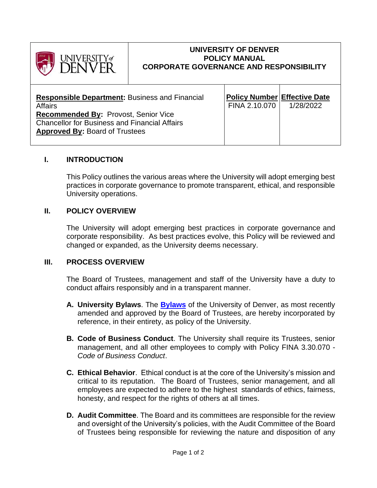

#### **UNIVERSITY OF DENVER POLICY MANUAL CORPORATE GOVERNANCE AND RESPONSIBILITY**

| <b>Responsible Department: Business and Financial</b><br><b>Affairs</b><br><b>Recommended By: Provost, Senior Vice</b><br><b>Chancellor for Business and Financial Affairs</b><br><b>Approved By: Board of Trustees</b> | <b>Policy Number Effective Date</b><br>FINA 2.10.070 | 1/28/2022 |  |
|-------------------------------------------------------------------------------------------------------------------------------------------------------------------------------------------------------------------------|------------------------------------------------------|-----------|--|
|-------------------------------------------------------------------------------------------------------------------------------------------------------------------------------------------------------------------------|------------------------------------------------------|-----------|--|

## **I. INTRODUCTION**

This Policy outlines the various areas where the University will adopt emerging best practices in corporate governance to promote transparent, ethical, and responsible University operations.

## **II. POLICY OVERVIEW**

The University will adopt emerging best practices in corporate governance and corporate responsibility. As best practices evolve, this Policy will be reviewed and changed or expanded, as the University deems necessary.

#### **III. PROCESS OVERVIEW**

The Board of Trustees, management and staff of the University have a duty to conduct affairs responsibly and in a transparent manner.

- **A. University Bylaws**. The **[Bylaws](https://live-du-core.pantheonsite.io/sites/default/files/2021-09/2020-05-14%20Amended%20and%20Restated%20Bylaws.pdf)** of the University of Denver, as most recently amended and approved by the Board of Trustees, are hereby incorporated by reference, in their entirety, as policy of the University.
- **B. Code of Business Conduct**. The University shall require its Trustees, senior management, and all other employees to comply with Policy FINA 3.30.070 - *Code of Business Conduct*.
- **C. Ethical Behavior**. Ethical conduct is at the core of the University's mission and critical to its reputation. The Board of Trustees, senior management, and all employees are expected to adhere to the highest standards of ethics, fairness, honesty, and respect for the rights of others at all times.
- **D. Audit Committee**. The Board and its committees are responsible for the review and oversight of the University's policies, with the Audit Committee of the Board of Trustees being responsible for reviewing the nature and disposition of any